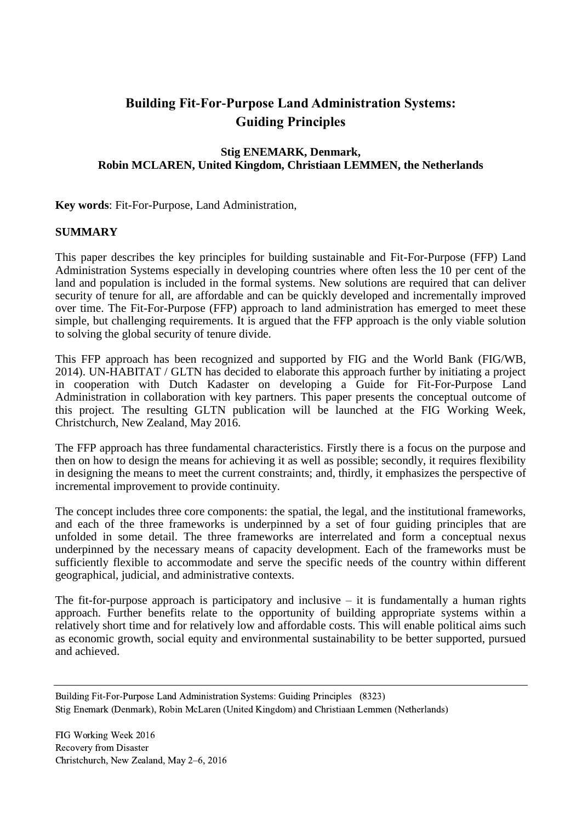# **Building Fit-For-Purpose Land Administration Systems: Guiding Principles**

#### **Stig ENEMARK, Denmark, Robin MCLAREN, United Kingdom, Christiaan LEMMEN, the Netherlands**

**Key words**: Fit-For-Purpose, Land Administration,

#### **SUMMARY**

This paper describes the key principles for building sustainable and Fit-For-Purpose (FFP) Land Administration Systems especially in developing countries where often less the 10 per cent of the land and population is included in the formal systems. New solutions are required that can deliver security of tenure for all, are affordable and can be quickly developed and incrementally improved over time. The Fit-For-Purpose (FFP) approach to land administration has emerged to meet these simple, but challenging requirements. It is argued that the FFP approach is the only viable solution to solving the global security of tenure divide.

This FFP approach has been recognized and supported by FIG and the World Bank (FIG/WB, 2014). UN-HABITAT / GLTN has decided to elaborate this approach further by initiating a project in cooperation with Dutch Kadaster on developing a Guide for Fit-For-Purpose Land Administration in collaboration with key partners. This paper presents the conceptual outcome of this project. The resulting GLTN publication will be launched at the FIG Working Week, Christchurch, New Zealand, May 2016.

The FFP approach has three fundamental characteristics. Firstly there is a focus on the purpose and then on how to design the means for achieving it as well as possible; secondly, it requires flexibility in designing the means to meet the current constraints; and, thirdly, it emphasizes the perspective of incremental improvement to provide continuity.

The concept includes three core components: the spatial, the legal, and the institutional frameworks, and each of the three frameworks is underpinned by a set of four guiding principles that are unfolded in some detail. The three frameworks are interrelated and form a conceptual nexus underpinned by the necessary means of capacity development. Each of the frameworks must be sufficiently flexible to accommodate and serve the specific needs of the country within different geographical, judicial, and administrative contexts.

The fit-for-purpose approach is participatory and inclusive  $-$  it is fundamentally a human rights approach. Further benefits relate to the opportunity of building appropriate systems within a relatively short time and for relatively low and affordable costs. This will enable political aims such as economic growth, social equity and environmental sustainability to be better supported, pursued and achieved.

Building Fit-For-Purpose Land Administration Systems: Guiding Principles (8323) Stig Enemark (Denmark), Robin McLaren (United Kingdom) and Christiaan Lemmen (Netherlands)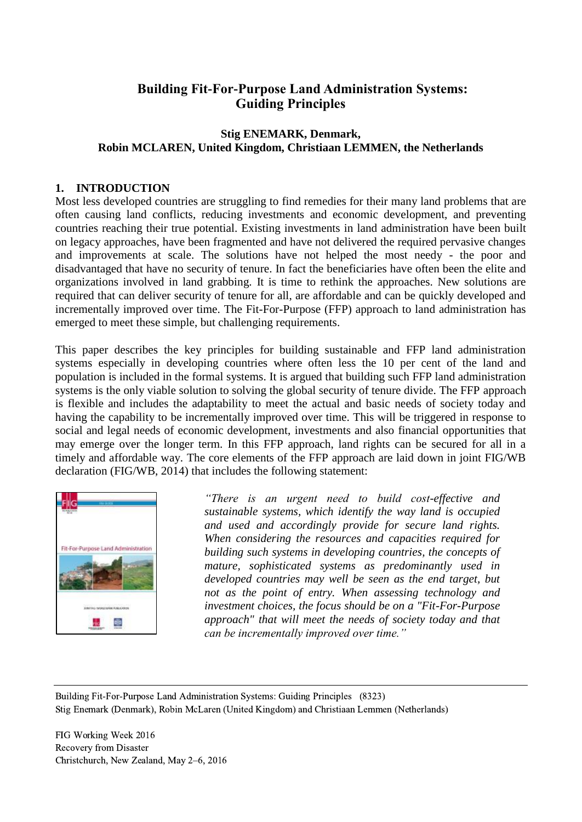# **Building Fit-For-Purpose Land Administration Systems: Guiding Principles**

# **Stig ENEMARK, Denmark, Robin MCLAREN, United Kingdom, Christiaan LEMMEN, the Netherlands**

#### **1. INTRODUCTION**

Most less developed countries are struggling to find remedies for their many land problems that are often causing land conflicts, reducing investments and economic development, and preventing countries reaching their true potential. Existing investments in land administration have been built on legacy approaches, have been fragmented and have not delivered the required pervasive changes and improvements at scale. The solutions have not helped the most needy - the poor and disadvantaged that have no security of tenure. In fact the beneficiaries have often been the elite and organizations involved in land grabbing. It is time to rethink the approaches. New solutions are required that can deliver security of tenure for all, are affordable and can be quickly developed and incrementally improved over time. The Fit-For-Purpose (FFP) approach to land administration has emerged to meet these simple, but challenging requirements.

This paper describes the key principles for building sustainable and FFP land administration systems especially in developing countries where often less the 10 per cent of the land and population is included in the formal systems. It is argued that building such FFP land administration systems is the only viable solution to solving the global security of tenure divide. The FFP approach is flexible and includes the adaptability to meet the actual and basic needs of society today and having the capability to be incrementally improved over time. This will be triggered in response to social and legal needs of economic development, investments and also financial opportunities that may emerge over the longer term. In this FFP approach, land rights can be secured for all in a timely and affordable way. The core elements of the FFP approach are laid down in joint FIG/WB declaration (FIG/WB, 2014) that includes the following statement:



*"There is an urgent need to build cost-effective and sustainable systems, which identify the way land is occupied and used and accordingly provide for secure land rights. When considering the resources and capacities required for building such systems in developing countries, the concepts of mature, sophisticated systems as predominantly used in developed countries may well be seen as the end target, but not as the point of entry. When assessing technology and investment choices, the focus should be on a "Fit-For-Purpose approach" that will meet the needs of society today and that can be incrementally improved over time."*

Building Fit-For-Purpose Land Administration Systems: Guiding Principles (8323) Stig Enemark (Denmark), Robin McLaren (United Kingdom) and Christiaan Lemmen (Netherlands)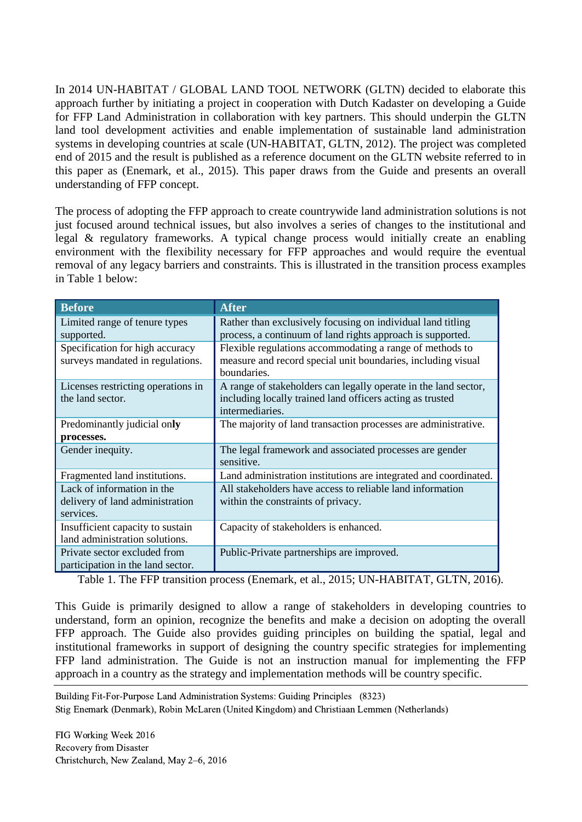In 2014 UN-HABITAT / GLOBAL LAND TOOL NETWORK (GLTN) decided to elaborate this approach further by initiating a project in cooperation with Dutch Kadaster on developing a Guide for FFP Land Administration in collaboration with key partners. This should underpin the GLTN land tool development activities and enable implementation of sustainable land administration systems in developing countries at scale (UN-HABITAT, GLTN, 2012). The project was completed end of 2015 and the result is published as a reference document on the GLTN website referred to in this paper as (Enemark, et al., 2015). This paper draws from the Guide and presents an overall understanding of FFP concept.

The process of adopting the FFP approach to create countrywide land administration solutions is not just focused around technical issues, but also involves a series of changes to the institutional and legal & regulatory frameworks. A typical change process would initially create an enabling environment with the flexibility necessary for FFP approaches and would require the eventual removal of any legacy barriers and constraints. This is illustrated in the transition process examples in Table 1 below:

| <b>Before</b>                                                     | <b>After</b>                                                          |  |
|-------------------------------------------------------------------|-----------------------------------------------------------------------|--|
| Limited range of tenure types                                     | Rather than exclusively focusing on individual land titling           |  |
| supported.                                                        | process, a continuum of land rights approach is supported.            |  |
| Specification for high accuracy                                   | Flexible regulations accommodating a range of methods to              |  |
| surveys mandated in regulations.                                  | measure and record special unit boundaries, including visual          |  |
|                                                                   | boundaries.                                                           |  |
| Licenses restricting operations in                                | A range of stakeholders can legally operate in the land sector,       |  |
| the land sector.                                                  | including locally trained land officers acting as trusted             |  |
|                                                                   | intermediaries.                                                       |  |
| Predominantly judicial only                                       | The majority of land transaction processes are administrative.        |  |
| processes.                                                        |                                                                       |  |
| Gender inequity.                                                  | The legal framework and associated processes are gender<br>sensitive. |  |
| Fragmented land institutions.                                     | Land administration institutions are integrated and coordinated.      |  |
| Lack of information in the                                        | All stakeholders have access to reliable land information             |  |
| delivery of land administration                                   | within the constraints of privacy.                                    |  |
| services.                                                         |                                                                       |  |
| Insufficient capacity to sustain                                  | Capacity of stakeholders is enhanced.                                 |  |
| land administration solutions.                                    |                                                                       |  |
| Private sector excluded from<br>participation in the land sector. | Public-Private partnerships are improved.                             |  |

Table 1. The FFP transition process (Enemark, et al., 2015; UN-HABITAT, GLTN, 2016).

This Guide is primarily designed to allow a range of stakeholders in developing countries to understand, form an opinion, recognize the benefits and make a decision on adopting the overall FFP approach. The Guide also provides guiding principles on building the spatial, legal and institutional frameworks in support of designing the country specific strategies for implementing FFP land administration. The Guide is not an instruction manual for implementing the FFP approach in a country as the strategy and implementation methods will be country specific.

Building Fit-For-Purpose Land Administration Systems: Guiding Principles (8323) Stig Enemark (Denmark), Robin McLaren (United Kingdom) and Christiaan Lemmen (Netherlands)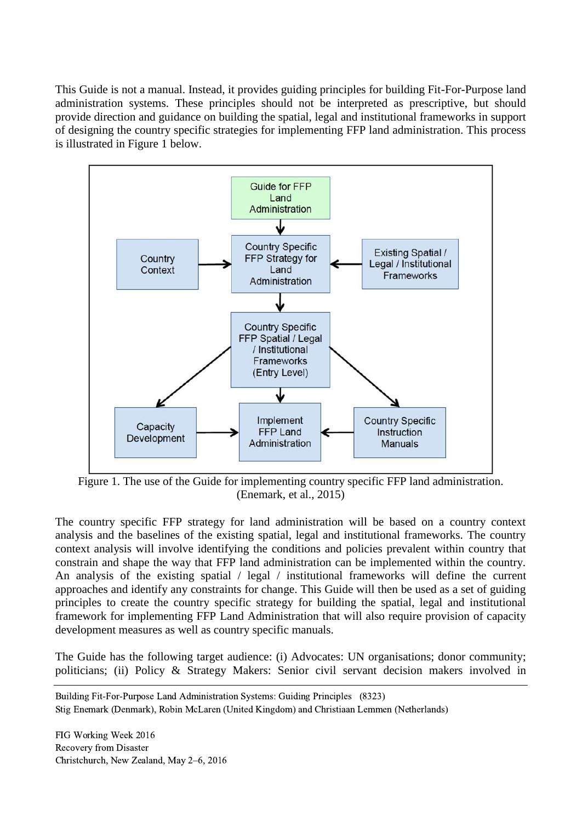This Guide is not a manual. Instead, it provides guiding principles for building Fit-For-Purpose land administration systems. These principles should not be interpreted as prescriptive, but should provide direction and guidance on building the spatial, legal and institutional frameworks in support of designing the country specific strategies for implementing FFP land administration. This process is illustrated in Figure 1 below.



Figure 1. The use of the Guide for implementing country specific FFP land administration. (Enemark, et al., 2015)

The country specific FFP strategy for land administration will be based on a country context analysis and the baselines of the existing spatial, legal and institutional frameworks. The country context analysis will involve identifying the conditions and policies prevalent within country that constrain and shape the way that FFP land administration can be implemented within the country. An analysis of the existing spatial / legal / institutional frameworks will define the current approaches and identify any constraints for change. This Guide will then be used as a set of guiding principles to create the country specific strategy for building the spatial, legal and institutional framework for implementing FFP Land Administration that will also require provision of capacity development measures as well as country specific manuals.

The Guide has the following target audience: (i) Advocates: UN organisations; donor community; politicians; (ii) Policy & Strategy Makers: Senior civil servant decision makers involved in

Building Fit-For-Purpose Land Administration Systems: Guiding Principles (8323) Stig Enemark (Denmark), Robin McLaren (United Kingdom) and Christiaan Lemmen (Netherlands)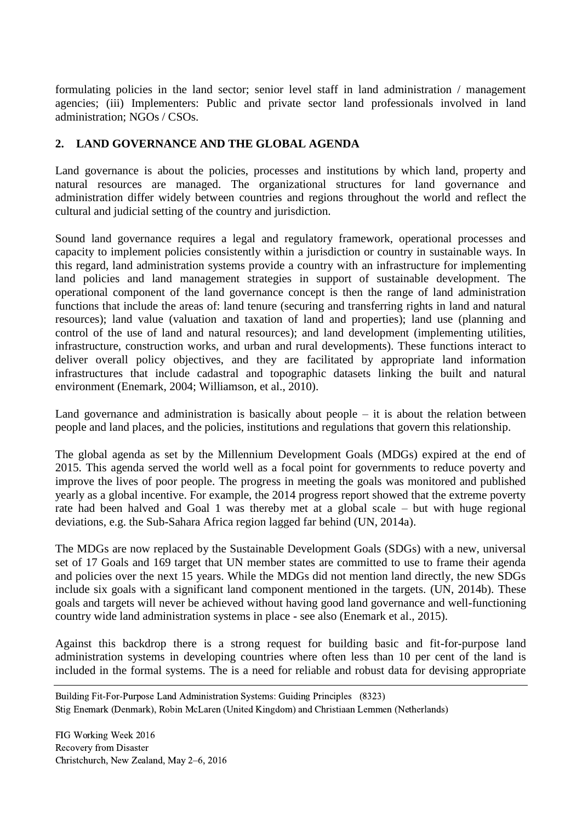formulating policies in the land sector; senior level staff in land administration / management agencies; (iii) Implementers: Public and private sector land professionals involved in land administration; NGOs / CSOs.

#### **2. LAND GOVERNANCE AND THE GLOBAL AGENDA**

Land governance is about the policies, processes and institutions by which land, property and natural resources are managed. The organizational structures for land governance and administration differ widely between countries and regions throughout the world and reflect the cultural and judicial setting of the country and jurisdiction.

Sound land governance requires a legal and regulatory framework, operational processes and capacity to implement policies consistently within a jurisdiction or country in sustainable ways. In this regard, land administration systems provide a country with an infrastructure for implementing land policies and land management strategies in support of sustainable development. The operational component of the land governance concept is then the range of land administration functions that include the areas of: land tenure (securing and transferring rights in land and natural resources); land value (valuation and taxation of land and properties); land use (planning and control of the use of land and natural resources); and land development (implementing utilities, infrastructure, construction works, and urban and rural developments). These functions interact to deliver overall policy objectives, and they are facilitated by appropriate land information infrastructures that include cadastral and topographic datasets linking the built and natural environment (Enemark, 2004; Williamson, et al., 2010).

Land governance and administration is basically about people  $-$  it is about the relation between people and land places, and the policies, institutions and regulations that govern this relationship.

The global agenda as set by the Millennium Development Goals (MDGs) expired at the end of 2015. This agenda served the world well as a focal point for governments to reduce poverty and improve the lives of poor people. The progress in meeting the goals was monitored and published yearly as a global incentive. For example, the 2014 progress report showed that the extreme poverty rate had been halved and Goal 1 was thereby met at a global scale – but with huge regional deviations, e.g. the Sub-Sahara Africa region lagged far behind (UN, 2014a).

The MDGs are now replaced by the Sustainable Development Goals (SDGs) with a new, universal set of 17 Goals and 169 target that UN member states are committed to use to frame their agenda and policies over the next 15 years. While the MDGs did not mention land directly, the new SDGs include six goals with a significant land component mentioned in the targets. (UN, 2014b). These goals and targets will never be achieved without having good land governance and well-functioning country wide land administration systems in place - see also (Enemark et al., 2015).

Against this backdrop there is a strong request for building basic and fit-for-purpose land administration systems in developing countries where often less than 10 per cent of the land is included in the formal systems. The is a need for reliable and robust data for devising appropriate

Building Fit-For-Purpose Land Administration Systems: Guiding Principles (8323) Stig Enemark (Denmark), Robin McLaren (United Kingdom) and Christiaan Lemmen (Netherlands)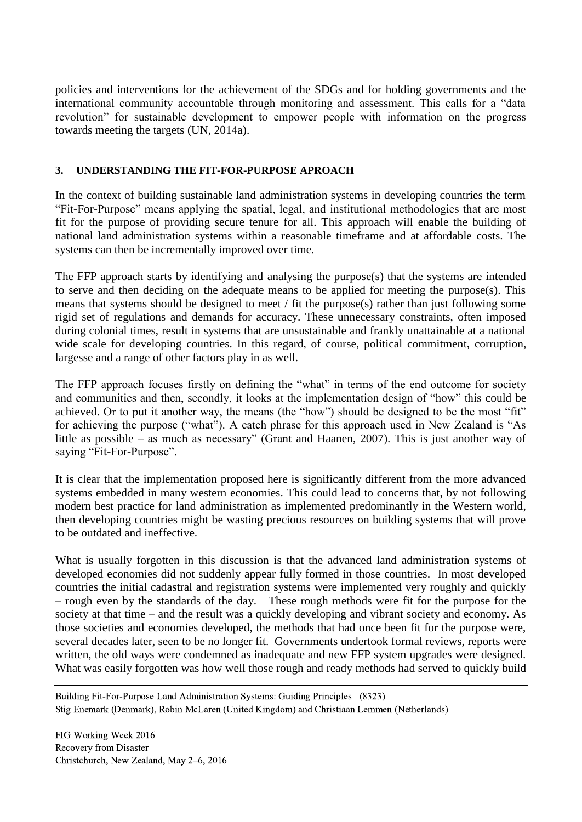policies and interventions for the achievement of the SDGs and for holding governments and the international community accountable through monitoring and assessment. This calls for a "data revolution" for sustainable development to empower people with information on the progress towards meeting the targets (UN, 2014a).

#### **3. UNDERSTANDING THE FIT-FOR-PURPOSE APROACH**

In the context of building sustainable land administration systems in developing countries the term "Fit-For-Purpose" means applying the spatial, legal, and institutional methodologies that are most fit for the purpose of providing secure tenure for all. This approach will enable the building of national land administration systems within a reasonable timeframe and at affordable costs. The systems can then be incrementally improved over time.

The FFP approach starts by identifying and analysing the purpose(s) that the systems are intended to serve and then deciding on the adequate means to be applied for meeting the purpose(s). This means that systems should be designed to meet / fit the purpose(s) rather than just following some rigid set of regulations and demands for accuracy. These unnecessary constraints, often imposed during colonial times, result in systems that are unsustainable and frankly unattainable at a national wide scale for developing countries. In this regard, of course, political commitment, corruption, largesse and a range of other factors play in as well.

The FFP approach focuses firstly on defining the "what" in terms of the end outcome for society and communities and then, secondly, it looks at the implementation design of "how" this could be achieved. Or to put it another way, the means (the "how") should be designed to be the most "fit" for achieving the purpose ("what"). A catch phrase for this approach used in New Zealand is "As little as possible – as much as necessary" (Grant and Haanen, 2007). This is just another way of saying "Fit-For-Purpose".

It is clear that the implementation proposed here is significantly different from the more advanced systems embedded in many western economies. This could lead to concerns that, by not following modern best practice for land administration as implemented predominantly in the Western world, then developing countries might be wasting precious resources on building systems that will prove to be outdated and ineffective.

What is usually forgotten in this discussion is that the advanced land administration systems of developed economies did not suddenly appear fully formed in those countries. In most developed countries the initial cadastral and registration systems were implemented very roughly and quickly – rough even by the standards of the day. These rough methods were fit for the purpose for the society at that time – and the result was a quickly developing and vibrant society and economy. As those societies and economies developed, the methods that had once been fit for the purpose were, several decades later, seen to be no longer fit. Governments undertook formal reviews, reports were written, the old ways were condemned as inadequate and new FFP system upgrades were designed. What was easily forgotten was how well those rough and ready methods had served to quickly build

Building Fit-For-Purpose Land Administration Systems: Guiding Principles (8323) Stig Enemark (Denmark), Robin McLaren (United Kingdom) and Christiaan Lemmen (Netherlands)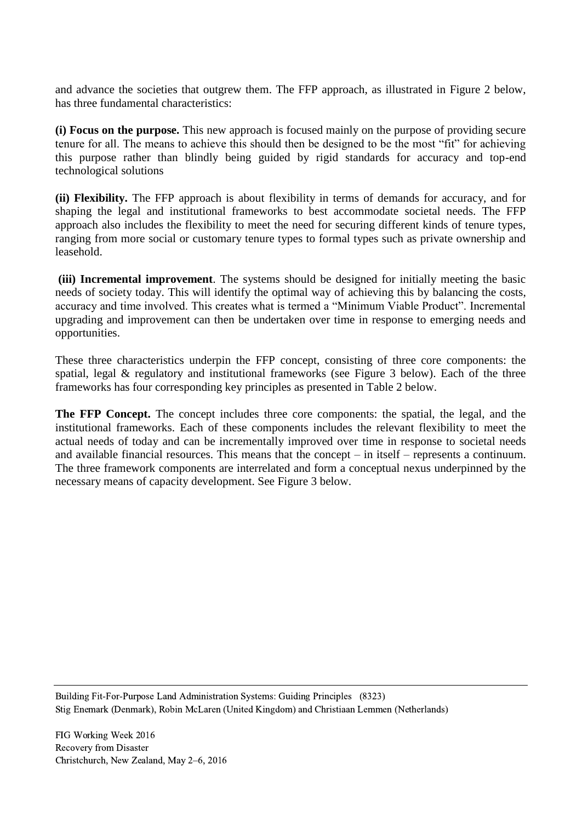and advance the societies that outgrew them. The FFP approach, as illustrated in Figure 2 below, has three fundamental characteristics:

**(i) Focus on the purpose.** This new approach is focused mainly on the purpose of providing secure tenure for all. The means to achieve this should then be designed to be the most "fit" for achieving this purpose rather than blindly being guided by rigid standards for accuracy and top-end technological solutions

**(ii) Flexibility.** The FFP approach is about flexibility in terms of demands for accuracy, and for shaping the legal and institutional frameworks to best accommodate societal needs. The FFP approach also includes the flexibility to meet the need for securing different kinds of tenure types, ranging from more social or customary tenure types to formal types such as private ownership and leasehold.

**(iii) Incremental improvement**. The systems should be designed for initially meeting the basic needs of society today. This will identify the optimal way of achieving this by balancing the costs, accuracy and time involved. This creates what is termed a "Minimum Viable Product". Incremental upgrading and improvement can then be undertaken over time in response to emerging needs and opportunities.

These three characteristics underpin the FFP concept, consisting of three core components: the spatial, legal & regulatory and institutional frameworks (see Figure 3 below). Each of the three frameworks has four corresponding key principles as presented in Table 2 below.

**The FFP Concept.** The concept includes three core components: the spatial, the legal, and the institutional frameworks. Each of these components includes the relevant flexibility to meet the actual needs of today and can be incrementally improved over time in response to societal needs and available financial resources. This means that the concept – in itself – represents a continuum. The three framework components are interrelated and form a conceptual nexus underpinned by the necessary means of capacity development. See Figure 3 below.

Building Fit-For-Purpose Land Administration Systems: Guiding Principles (8323) Stig Enemark (Denmark), Robin McLaren (United Kingdom) and Christiaan Lemmen (Netherlands)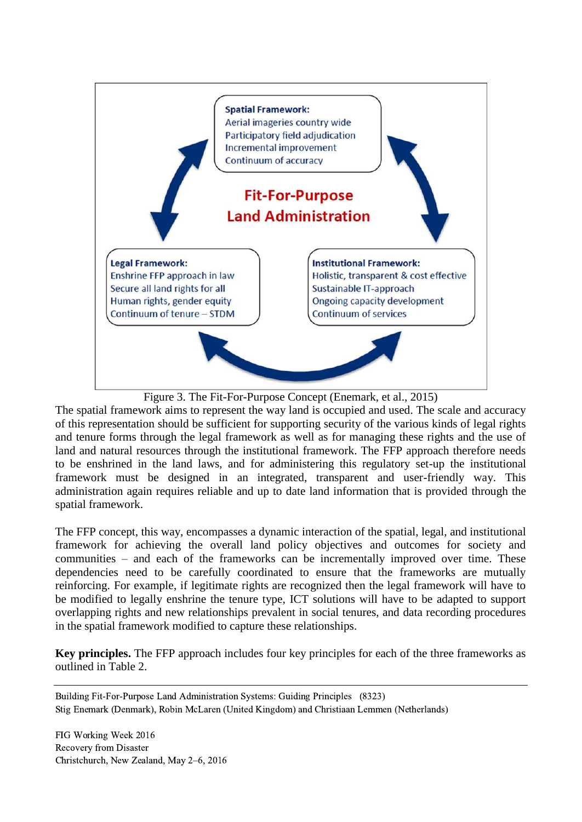



The spatial framework aims to represent the way land is occupied and used. The scale and accuracy of this representation should be sufficient for supporting security of the various kinds of legal rights and tenure forms through the legal framework as well as for managing these rights and the use of land and natural resources through the institutional framework. The FFP approach therefore needs to be enshrined in the land laws, and for administering this regulatory set-up the institutional framework must be designed in an integrated, transparent and user-friendly way. This administration again requires reliable and up to date land information that is provided through the spatial framework.

The FFP concept, this way, encompasses a dynamic interaction of the spatial, legal, and institutional framework for achieving the overall land policy objectives and outcomes for society and communities – and each of the frameworks can be incrementally improved over time. These dependencies need to be carefully coordinated to ensure that the frameworks are mutually reinforcing. For example, if legitimate rights are recognized then the legal framework will have to be modified to legally enshrine the tenure type, ICT solutions will have to be adapted to support overlapping rights and new relationships prevalent in social tenures, and data recording procedures in the spatial framework modified to capture these relationships.

**Key principles.** The FFP approach includes four key principles for each of the three frameworks as outlined in Table 2.

Building Fit-For-Purpose Land Administration Systems: Guiding Principles (8323) Stig Enemark (Denmark), Robin McLaren (United Kingdom) and Christiaan Lemmen (Netherlands)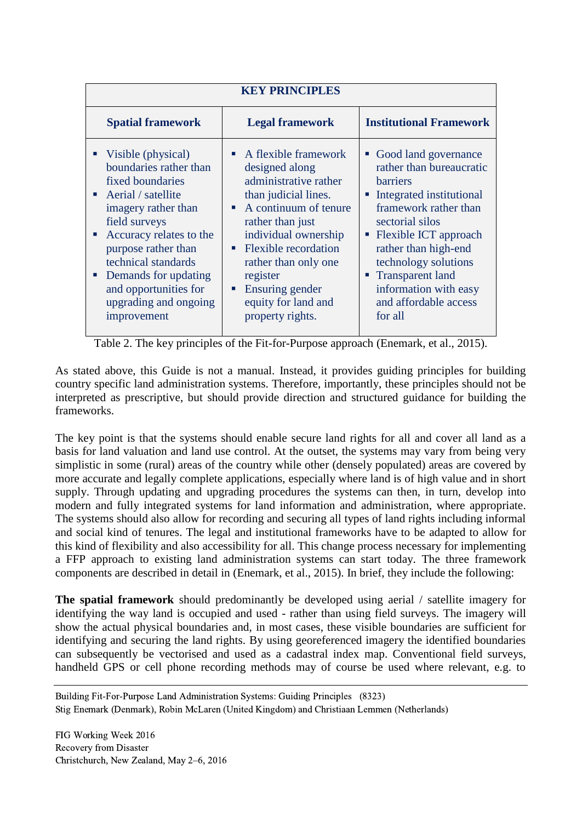| <b>KEY PRINCIPLES</b>                                                                                                                                                                                                                                                                                               |                                                                                                                                                                                                                                                                                                                        |                                                                                                                                                                                                                                                                                                                       |
|---------------------------------------------------------------------------------------------------------------------------------------------------------------------------------------------------------------------------------------------------------------------------------------------------------------------|------------------------------------------------------------------------------------------------------------------------------------------------------------------------------------------------------------------------------------------------------------------------------------------------------------------------|-----------------------------------------------------------------------------------------------------------------------------------------------------------------------------------------------------------------------------------------------------------------------------------------------------------------------|
| <b>Spatial framework</b>                                                                                                                                                                                                                                                                                            | <b>Legal framework</b>                                                                                                                                                                                                                                                                                                 | <b>Institutional Framework</b>                                                                                                                                                                                                                                                                                        |
| • Visible (physical)<br>boundaries rather than<br>fixed boundaries<br>$\blacksquare$ Aerial / satellite<br>imagery rather than<br>field surveys<br>Accuracy relates to the<br>purpose rather than<br>technical standards<br>• Demands for updating<br>and opportunities for<br>upgrading and ongoing<br>improvement | $\blacksquare$ A flexible framework<br>designed along<br>administrative rather<br>than judicial lines.<br>A continuum of tenure<br>rather than just<br>individual ownership<br><b>Flexible recordation</b><br>п<br>rather than only one<br>register<br>Ensuring gender<br>ш<br>equity for land and<br>property rights. | Good land governance<br>rather than bureaucratic<br><b>barriers</b><br>• Integrated institutional<br>framework rather than<br>sectorial silos<br>• Flexible ICT approach<br>rather than high-end<br>technology solutions<br><b>Transparent land</b><br>٠<br>information with easy<br>and affordable access<br>for all |

Table 2. The key principles of the Fit-for-Purpose approach (Enemark, et al., 2015).

As stated above, this Guide is not a manual. Instead, it provides guiding principles for building country specific land administration systems. Therefore, importantly, these principles should not be interpreted as prescriptive, but should provide direction and structured guidance for building the frameworks.

The key point is that the systems should enable secure land rights for all and cover all land as a basis for land valuation and land use control. At the outset, the systems may vary from being very simplistic in some (rural) areas of the country while other (densely populated) areas are covered by more accurate and legally complete applications, especially where land is of high value and in short supply. Through updating and upgrading procedures the systems can then, in turn, develop into modern and fully integrated systems for land information and administration, where appropriate. The systems should also allow for recording and securing all types of land rights including informal and social kind of tenures. The legal and institutional frameworks have to be adapted to allow for this kind of flexibility and also accessibility for all. This change process necessary for implementing a FFP approach to existing land administration systems can start today. The three framework components are described in detail in (Enemark, et al., 2015). In brief, they include the following:

**The spatial framework** should predominantly be developed using aerial / satellite imagery for identifying the way land is occupied and used - rather than using field surveys. The imagery will show the actual physical boundaries and, in most cases, these visible boundaries are sufficient for identifying and securing the land rights. By using georeferenced imagery the identified boundaries can subsequently be vectorised and used as a cadastral index map. Conventional field surveys, handheld GPS or cell phone recording methods may of course be used where relevant, e.g. to

Building Fit-For-Purpose Land Administration Systems: Guiding Principles (8323) Stig Enemark (Denmark), Robin McLaren (United Kingdom) and Christiaan Lemmen (Netherlands)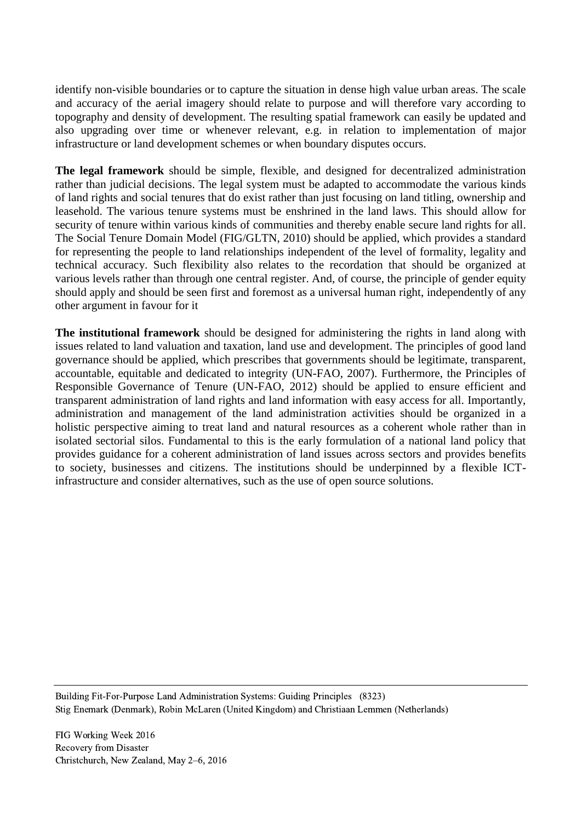identify non-visible boundaries or to capture the situation in dense high value urban areas. The scale and accuracy of the aerial imagery should relate to purpose and will therefore vary according to topography and density of development. The resulting spatial framework can easily be updated and also upgrading over time or whenever relevant, e.g. in relation to implementation of major infrastructure or land development schemes or when boundary disputes occurs.

**The legal framework** should be simple, flexible, and designed for decentralized administration rather than judicial decisions. The legal system must be adapted to accommodate the various kinds of land rights and social tenures that do exist rather than just focusing on land titling, ownership and leasehold. The various tenure systems must be enshrined in the land laws. This should allow for security of tenure within various kinds of communities and thereby enable secure land rights for all. The Social Tenure Domain Model (FIG/GLTN, 2010) should be applied, which provides a standard for representing the people to land relationships independent of the level of formality, legality and technical accuracy. Such flexibility also relates to the recordation that should be organized at various levels rather than through one central register. And, of course, the principle of gender equity should apply and should be seen first and foremost as a universal human right, independently of any other argument in favour for it

**The institutional framework** should be designed for administering the rights in land along with issues related to land valuation and taxation, land use and development. The principles of good land governance should be applied, which prescribes that governments should be legitimate, transparent, accountable, equitable and dedicated to integrity (UN-FAO, 2007). Furthermore, the Principles of Responsible Governance of Tenure (UN-FAO, 2012) should be applied to ensure efficient and transparent administration of land rights and land information with easy access for all. Importantly, administration and management of the land administration activities should be organized in a holistic perspective aiming to treat land and natural resources as a coherent whole rather than in isolated sectorial silos. Fundamental to this is the early formulation of a national land policy that provides guidance for a coherent administration of land issues across sectors and provides benefits to society, businesses and citizens. The institutions should be underpinned by a flexible ICTinfrastructure and consider alternatives, such as the use of open source solutions.

Building Fit-For-Purpose Land Administration Systems: Guiding Principles (8323) Stig Enemark (Denmark), Robin McLaren (United Kingdom) and Christiaan Lemmen (Netherlands)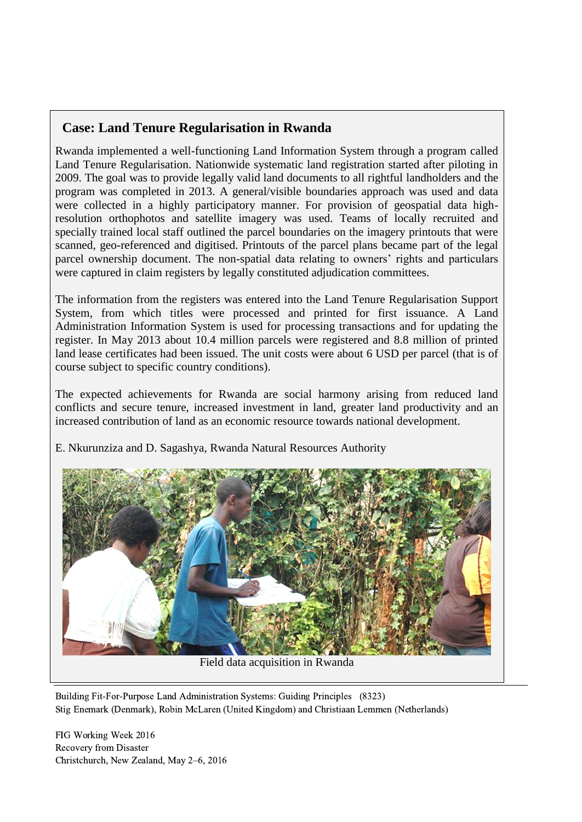# **Case: Land Tenure Regularisation in Rwanda**

Rwanda implemented a well-functioning Land Information System through a program called Land Tenure Regularisation. Nationwide systematic land registration started after piloting in 2009. The goal was to provide legally valid land documents to all rightful landholders and the program was completed in 2013. A general/visible boundaries approach was used and data were collected in a highly participatory manner. For provision of geospatial data highresolution orthophotos and satellite imagery was used. Teams of locally recruited and specially trained local staff outlined the parcel boundaries on the imagery printouts that were scanned, geo-referenced and digitised. Printouts of the parcel plans became part of the legal parcel ownership document. The non-spatial data relating to owners' rights and particulars were captured in claim registers by legally constituted adjudication committees.

The information from the registers was entered into the Land Tenure Regularisation Support System, from which titles were processed and printed for first issuance. A Land Administration Information System is used for processing transactions and for updating the register. In May 2013 about 10.4 million parcels were registered and 8.8 million of printed land lease certificates had been issued. The unit costs were about 6 USD per parcel (that is of course subject to specific country conditions).

The expected achievements for Rwanda are social harmony arising from reduced land conflicts and secure tenure, increased investment in land, greater land productivity and an increased contribution of land as an economic resource towards national development.





Field data acquisition in Rwanda

Building Fit-For-Purpose Land Administration Systems: Guiding Principles (8323) Stig Enemark (Denmark), Robin McLaren (United Kingdom) and Christiaan Lemmen (Netherlands)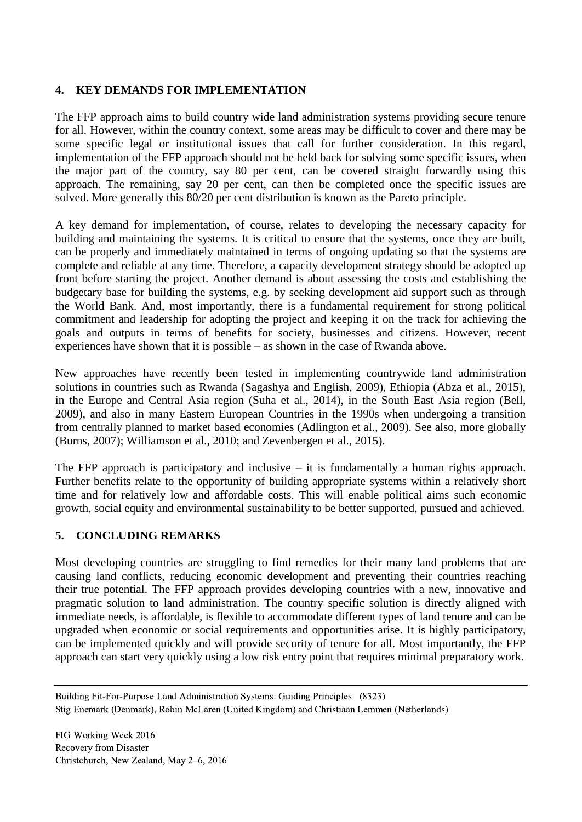# **4. KEY DEMANDS FOR IMPLEMENTATION**

The FFP approach aims to build country wide land administration systems providing secure tenure for all. However, within the country context, some areas may be difficult to cover and there may be some specific legal or institutional issues that call for further consideration. In this regard, implementation of the FFP approach should not be held back for solving some specific issues, when the major part of the country, say 80 per cent, can be covered straight forwardly using this approach. The remaining, say 20 per cent, can then be completed once the specific issues are solved. More generally this 80/20 per cent distribution is known as the Pareto principle.

A key demand for implementation, of course, relates to developing the necessary capacity for building and maintaining the systems. It is critical to ensure that the systems, once they are built, can be properly and immediately maintained in terms of ongoing updating so that the systems are complete and reliable at any time. Therefore, a capacity development strategy should be adopted up front before starting the project. Another demand is about assessing the costs and establishing the budgetary base for building the systems, e.g. by seeking development aid support such as through the World Bank. And, most importantly, there is a fundamental requirement for strong political commitment and leadership for adopting the project and keeping it on the track for achieving the goals and outputs in terms of benefits for society, businesses and citizens. However, recent experiences have shown that it is possible – as shown in the case of Rwanda above.

New approaches have recently been tested in implementing countrywide land administration solutions in countries such as Rwanda (Sagashya and English, 2009), Ethiopia (Abza et al., 2015), in the Europe and Central Asia region (Suha et al., 2014), in the South East Asia region (Bell, 2009), and also in many Eastern European Countries in the 1990s when undergoing a transition from centrally planned to market based economies (Adlington et al., 2009). See also, more globally (Burns, 2007); Williamson et al., 2010; and Zevenbergen et al., 2015).

The FFP approach is participatory and inclusive  $-$  it is fundamentally a human rights approach. Further benefits relate to the opportunity of building appropriate systems within a relatively short time and for relatively low and affordable costs. This will enable political aims such economic growth, social equity and environmental sustainability to be better supported, pursued and achieved.

## **5. CONCLUDING REMARKS**

Most developing countries are struggling to find remedies for their many land problems that are causing land conflicts, reducing economic development and preventing their countries reaching their true potential. The FFP approach provides developing countries with a new, innovative and pragmatic solution to land administration. The country specific solution is directly aligned with immediate needs, is affordable, is flexible to accommodate different types of land tenure and can be upgraded when economic or social requirements and opportunities arise. It is highly participatory, can be implemented quickly and will provide security of tenure for all. Most importantly, the FFP approach can start very quickly using a low risk entry point that requires minimal preparatory work.

Building Fit-For-Purpose Land Administration Systems: Guiding Principles (8323) Stig Enemark (Denmark), Robin McLaren (United Kingdom) and Christiaan Lemmen (Netherlands)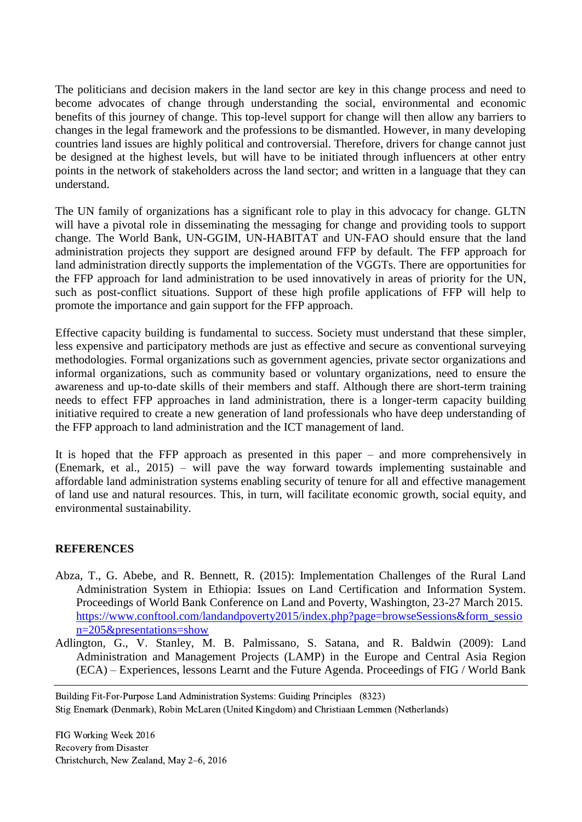The politicians and decision makers in the land sector are key in this change process and need to become advocates of change through understanding the social, environmental and economic benefits of this journey of change. This top-level support for change will then allow any barriers to changes in the legal framework and the professions to be dismantled. However, in many developing countries land issues are highly political and controversial. Therefore, drivers for change cannot just be designed at the highest levels, but will have to be initiated through influencers at other entry points in the network of stakeholders across the land sector; and written in a language that they can understand.

The UN family of organizations has a significant role to play in this advocacy for change. GLTN will have a pivotal role in disseminating the messaging for change and providing tools to support change. The World Bank, UN-GGIM, UN-HABITAT and UN-FAO should ensure that the land administration projects they support are designed around FFP by default. The FFP approach for land administration directly supports the implementation of the VGGTs. There are opportunities for the FFP approach for land administration to be used innovatively in areas of priority for the UN, such as post-conflict situations. Support of these high profile applications of FFP will help to promote the importance and gain support for the FFP approach.

Effective capacity building is fundamental to success. Society must understand that these simpler, less expensive and participatory methods are just as effective and secure as conventional surveying methodologies. Formal organizations such as government agencies, private sector organizations and informal organizations, such as community based or voluntary organizations, need to ensure the awareness and up-to-date skills of their members and staff. Although there are short-term training needs to effect FFP approaches in land administration, there is a longer-term capacity building initiative required to create a new generation of land professionals who have deep understanding of the FFP approach to land administration and the ICT management of land.

It is hoped that the FFP approach as presented in this paper – and more comprehensively in (Enemark, et al., 2015) – will pave the way forward towards implementing sustainable and affordable land administration systems enabling security of tenure for all and effective management of land use and natural resources. This, in turn, will facilitate economic growth, social equity, and environmental sustainability.

## **REFERENCES**

- Abza, T., G. Abebe, and R. Bennett, R. (2015): Implementation Challenges of the Rural Land Administration System in Ethiopia: Issues on Land Certification and Information System. Proceedings of World Bank Conference on Land and Poverty, Washington, 23-27 March 2015. [https://www.conftool.com/landandpoverty2015/index.php?page=browseSessions&form\\_sessio](https://www.conftool.com/landandpoverty2015/index.php?page=browseSessions&form_session=205&presentations=show) [n=205&presentations=show](https://www.conftool.com/landandpoverty2015/index.php?page=browseSessions&form_session=205&presentations=show)
- Adlington, G., V. Stanley, M. B. Palmissano, S. Satana, and R. Baldwin (2009): Land Administration and Management Projects (LAMP) in the Europe and Central Asia Region (ECA) – Experiences, lessons Learnt and the Future Agenda. Proceedings of FIG / World Bank

Building Fit-For-Purpose Land Administration Systems: Guiding Principles (8323) Stig Enemark (Denmark), Robin McLaren (United Kingdom) and Christiaan Lemmen (Netherlands)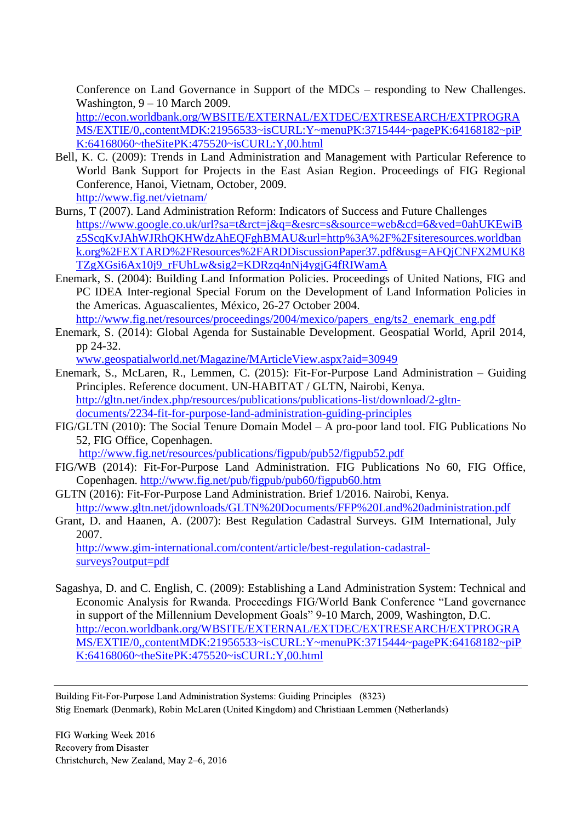Conference on Land Governance in Support of the MDCs – responding to New Challenges. Washington, 9 – 10 March 2009.

[http://econ.worldbank.org/WBSITE/EXTERNAL/EXTDEC/EXTRESEARCH/EXTPROGRA](http://econ.worldbank.org/WBSITE/EXTERNAL/EXTDEC/EXTRESEARCH/EXTPROGRAMS/EXTIE/0,,contentMDK:21956533~isCURL:Y~menuPK:3715444~pagePK:64168182~piPK:64168060~theSitePK:475520~isCURL:Y,00.html) [MS/EXTIE/0,,contentMDK:21956533~isCURL:Y~menuPK:3715444~pagePK:64168182~piP](http://econ.worldbank.org/WBSITE/EXTERNAL/EXTDEC/EXTRESEARCH/EXTPROGRAMS/EXTIE/0,,contentMDK:21956533~isCURL:Y~menuPK:3715444~pagePK:64168182~piPK:64168060~theSitePK:475520~isCURL:Y,00.html) [K:64168060~theSitePK:475520~isCURL:Y,00.html](http://econ.worldbank.org/WBSITE/EXTERNAL/EXTDEC/EXTRESEARCH/EXTPROGRAMS/EXTIE/0,,contentMDK:21956533~isCURL:Y~menuPK:3715444~pagePK:64168182~piPK:64168060~theSitePK:475520~isCURL:Y,00.html)

- Bell, K. C. (2009): Trends in Land Administration and Management with Particular Reference to World Bank Support for Projects in the East Asian Region. Proceedings of FIG Regional Conference, Hanoi, Vietnam, October, 2009. <http://www.fig.net/vietnam/>
- Burns, T (2007). Land Administration Reform: Indicators of Success and Future Challenges [https://www.google.co.uk/url?sa=t&rct=j&q=&esrc=s&source=web&cd=6&ved=0ahUKEwiB](https://www.google.co.uk/url?sa=t&rct=j&q=&esrc=s&source=web&cd=6&ved=0ahUKEwiBz5ScqKvJAhWJRhQKHWdzAhEQFghBMAU&url=http%3A%2F%2Fsiteresources.worldbank.org%2FEXTARD%2FResources%2FARDDiscussionPaper37.pdf&usg=AFQjCNFX2MUK8TZgXGsi6Ax10j9_rFUhLw&sig2=KDRzq4nNj4ygjG4fRIWamA) [z5ScqKvJAhWJRhQKHWdzAhEQFghBMAU&url=http%3A%2F%2Fsiteresources.worldban](https://www.google.co.uk/url?sa=t&rct=j&q=&esrc=s&source=web&cd=6&ved=0ahUKEwiBz5ScqKvJAhWJRhQKHWdzAhEQFghBMAU&url=http%3A%2F%2Fsiteresources.worldbank.org%2FEXTARD%2FResources%2FARDDiscussionPaper37.pdf&usg=AFQjCNFX2MUK8TZgXGsi6Ax10j9_rFUhLw&sig2=KDRzq4nNj4ygjG4fRIWamA) [k.org%2FEXTARD%2FResources%2FARDDiscussionPaper37.pdf&usg=AFQjCNFX2MUK8](https://www.google.co.uk/url?sa=t&rct=j&q=&esrc=s&source=web&cd=6&ved=0ahUKEwiBz5ScqKvJAhWJRhQKHWdzAhEQFghBMAU&url=http%3A%2F%2Fsiteresources.worldbank.org%2FEXTARD%2FResources%2FARDDiscussionPaper37.pdf&usg=AFQjCNFX2MUK8TZgXGsi6Ax10j9_rFUhLw&sig2=KDRzq4nNj4ygjG4fRIWamA) [TZgXGsi6Ax10j9\\_rFUhLw&sig2=KDRzq4nNj4ygjG4fRIWamA](https://www.google.co.uk/url?sa=t&rct=j&q=&esrc=s&source=web&cd=6&ved=0ahUKEwiBz5ScqKvJAhWJRhQKHWdzAhEQFghBMAU&url=http%3A%2F%2Fsiteresources.worldbank.org%2FEXTARD%2FResources%2FARDDiscussionPaper37.pdf&usg=AFQjCNFX2MUK8TZgXGsi6Ax10j9_rFUhLw&sig2=KDRzq4nNj4ygjG4fRIWamA)
- Enemark, S. (2004): Building Land Information Policies. Proceedings of United Nations, FIG and PC IDEA Inter-regional Special Forum on the Development of Land Information Policies in the Americas. Aguascalientes, México, 26-27 October 2004. [http://www.fig.net/resources/proceedings/2004/mexico/papers\\_eng/ts2\\_enemark\\_eng.pdf](http://www.fig.net/resources/proceedings/2004/mexico/papers_eng/ts2_enemark_eng.pdf)
- Enemark, S. (2014): Global Agenda for Sustainable Development. Geospatial World, April 2014, pp 24-32.

[www.geospatialworld.net/Magazine/MArticleView.aspx?aid=30949](http://www.geospatialworld.net/Magazine/MArticleView.aspx?aid=30949)

- Enemark, S., McLaren, R., Lemmen, C. (2015): Fit-For-Purpose Land Administration Guiding Principles. Reference document. UN-HABITAT / GLTN, Nairobi, Kenya. [http://gltn.net/index.php/resources/publications/publications-list/download/2-gltn](http://gltn.net/index.php/resources/publications/publications-list/download/2-gltn-documents/2234-fit-for-purpose-land-administration-guiding-principles)[documents/2234-fit-for-purpose-land-administration-guiding-principles](http://gltn.net/index.php/resources/publications/publications-list/download/2-gltn-documents/2234-fit-for-purpose-land-administration-guiding-principles)
- FIG/GLTN (2010): The Social Tenure Domain Model A pro-poor land tool. FIG Publications No 52, FIG Office, Copenhagen.

<http://www.fig.net/resources/publications/figpub/pub52/figpub52.pdf>

- FIG/WB (2014): Fit-For-Purpose Land Administration. FIG Publications No 60, FIG Office, Copenhagen.<http://www.fig.net/pub/figpub/pub60/figpub60.htm>
- GLTN (2016): Fit-For-Purpose Land Administration. Brief 1/2016. Nairobi, Kenya. <http://www.gltn.net/jdownloads/GLTN%20Documents/FFP%20Land%20administration.pdf>
- Grant, D. and Haanen, A. (2007): Best Regulation Cadastral Surveys. GIM International, July 2007.

[http://www.gim-international.com/content/article/best-regulation-cadastral](http://www.gim-international.com/content/article/best-regulation-cadastral-surveys?output=pdf)[surveys?output=pdf](http://www.gim-international.com/content/article/best-regulation-cadastral-surveys?output=pdf)

Sagashya, D. and C. English, C. (2009): Establishing a Land Administration System: Technical and Economic Analysis for Rwanda. Proceedings FIG/World Bank Conference "Land governance in support of the Millennium Development Goals" 9-10 March, 2009, Washington, D.C. [http://econ.worldbank.org/WBSITE/EXTERNAL/EXTDEC/EXTRESEARCH/EXTPROGRA](http://econ.worldbank.org/WBSITE/EXTERNAL/EXTDEC/EXTRESEARCH/EXTPROGRAMS/EXTIE/0,,contentMDK:21956533~isCURL:Y~menuPK:3715444~pagePK:64168182~piPK:64168060~theSitePK:475520~isCURL:Y,00.html) [MS/EXTIE/0,,contentMDK:21956533~isCURL:Y~menuPK:3715444~pagePK:64168182~piP](http://econ.worldbank.org/WBSITE/EXTERNAL/EXTDEC/EXTRESEARCH/EXTPROGRAMS/EXTIE/0,,contentMDK:21956533~isCURL:Y~menuPK:3715444~pagePK:64168182~piPK:64168060~theSitePK:475520~isCURL:Y,00.html) [K:64168060~theSitePK:475520~isCURL:Y,00.html](http://econ.worldbank.org/WBSITE/EXTERNAL/EXTDEC/EXTRESEARCH/EXTPROGRAMS/EXTIE/0,,contentMDK:21956533~isCURL:Y~menuPK:3715444~pagePK:64168182~piPK:64168060~theSitePK:475520~isCURL:Y,00.html)

Building Fit-For-Purpose Land Administration Systems: Guiding Principles (8323) Stig Enemark (Denmark), Robin McLaren (United Kingdom) and Christiaan Lemmen (Netherlands)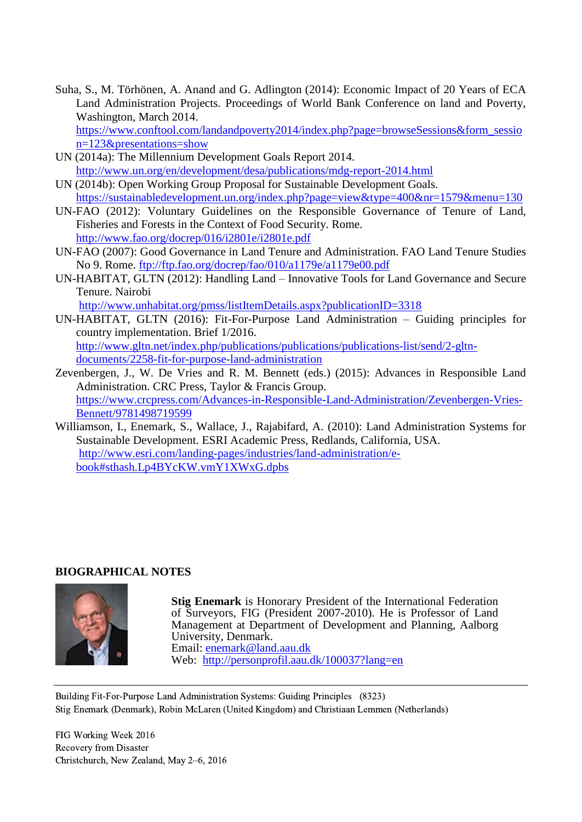Suha, S., M. Törhönen, A. Anand and G. Adlington (2014): Economic Impact of 20 Years of ECA Land Administration Projects. Proceedings of World Bank Conference on land and Poverty, Washington, March 2014.

[https://www.conftool.com/landandpoverty2014/index.php?page=browseSessions&form\\_sessio](https://www.conftool.com/landandpoverty2014/index.php?page=browseSessions&form_session=123&presentations=show) [n=123&presentations=show](https://www.conftool.com/landandpoverty2014/index.php?page=browseSessions&form_session=123&presentations=show)

- UN (2014a): The Millennium Development Goals Report 2014. <http://www.un.org/en/development/desa/publications/mdg-report-2014.html>
- UN (2014b): Open Working Group Proposal for Sustainable Development Goals. <https://sustainabledevelopment.un.org/index.php?page=view&type=400&nr=1579&menu=130>
- UN-FAO (2012): Voluntary Guidelines on the Responsible Governance of Tenure of Land, Fisheries and Forests in the Context of Food Security. Rome. <http://www.fao.org/docrep/016/i2801e/i2801e.pdf>
- UN-FAO (2007): Good Governance in Land Tenure and Administration. FAO Land Tenure Studies No 9. Rome.<ftp://ftp.fao.org/docrep/fao/010/a1179e/a1179e00.pdf>
- UN-HABITAT, GLTN (2012): Handling Land Innovative Tools for Land Governance and Secure Tenure. Nairobi

<http://www.unhabitat.org/pmss/listItemDetails.aspx?publicationID=3318>

- UN-HABITAT, GLTN (2016): Fit-For-Purpose Land Administration Guiding principles for country implementation. Brief 1/2016. [http://www.gltn.net/index.php/publications/publications/publications-list/send/2-gltn](http://www.gltn.net/index.php/publications/publications/publications-list/send/2-gltn-documents/2258-fit-for-purpose-land-administration)[documents/2258-fit-for-purpose-land-administration](http://www.gltn.net/index.php/publications/publications/publications-list/send/2-gltn-documents/2258-fit-for-purpose-land-administration)
- Zevenbergen, J., W. De Vries and R. M. Bennett (eds.) (2015): Advances in Responsible Land Administration. CRC Press, Taylor & Francis Group. [https://www.crcpress.com/Advances-in-Responsible-Land-Administration/Zevenbergen-Vries-](https://www.crcpress.com/Advances-in-Responsible-Land-Administration/Zevenbergen-Vries-Bennett/9781498719599)[Bennett/9781498719599](https://www.crcpress.com/Advances-in-Responsible-Land-Administration/Zevenbergen-Vries-Bennett/9781498719599)
- Williamson, I., Enemark, S., Wallace, J., Rajabifard, A. (2010): Land Administration Systems for Sustainable Development. ESRI Academic Press, Redlands, California, USA. [http://www.esri.com/landing-pages/industries/land-administration/e](http://www.esri.com/landing-pages/industries/land-administration/e-book#sthash.Lp4BYcKW.vmY1XWxG.dpbs)[book#sthash.Lp4BYcKW.vmY1XWxG.dpbs](http://www.esri.com/landing-pages/industries/land-administration/e-book#sthash.Lp4BYcKW.vmY1XWxG.dpbs)

## **BIOGRAPHICAL NOTES**



**Stig Enemark** is Honorary President of the International Federation of Surveyors, FIG (President 2007-2010). He is Professor of Land Management at Department of Development and Planning, Aalborg University, Denmark. Email: [enemark@land.aau.dk](mailto:enemark@land.aau.dk) Web: <http://personprofil.aau.dk/100037?lang=en>

Building Fit-For-Purpose Land Administration Systems: Guiding Principles (8323) Stig Enemark (Denmark), Robin McLaren (United Kingdom) and Christiaan Lemmen (Netherlands)